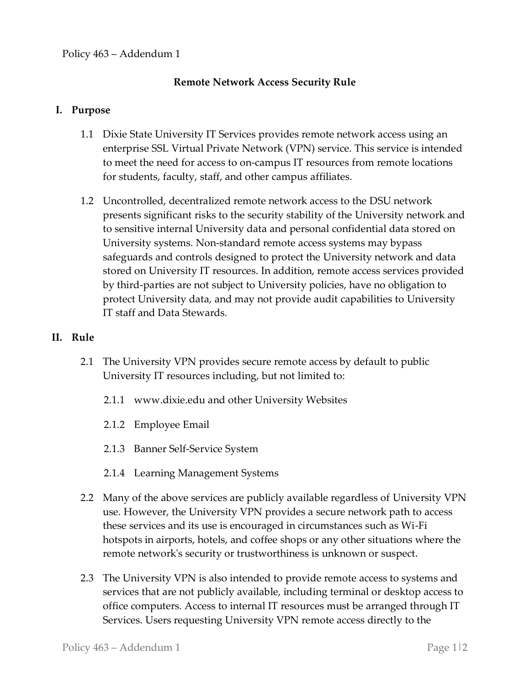## **Remote Network Access Security Rule**

## **I. Purpose**

- 1.1 Dixie State University IT Services provides remote network access using an enterprise SSL Virtual Private Network (VPN) service. This service is intended to meet the need for access to on-campus IT resources from remote locations for students, faculty, staff, and other campus affiliates.
- 1.2 Uncontrolled, decentralized remote network access to the DSU network presents significant risks to the security stability of the University network and to sensitive internal University data and personal confidential data stored on University systems. Non-standard remote access systems may bypass safeguards and controls designed to protect the University network and data stored on University IT resources. In addition, remote access services provided by third-parties are not subject to University policies, have no obligation to protect University data, and may not provide audit capabilities to University IT staff and Data Stewards.

## **II. Rule**

- 2.1 The University VPN provides secure remote access by default to public University IT resources including, but not limited to:
	- 2.1.1 www.dixie.edu and other University Websites
	- 2.1.2 Employee Email
	- 2.1.3 Banner Self-Service System
	- 2.1.4 Learning Management Systems
- 2.2 Many of the above services are publicly available regardless of University VPN use. However, the University VPN provides a secure network path to access these services and its use is encouraged in circumstances such as Wi-Fi hotspots in airports, hotels, and coffee shops or any other situations where the remote network's security or trustworthiness is unknown or suspect.
- 2.3 The University VPN is also intended to provide remote access to systems and services that are not publicly available, including terminal or desktop access to office computers. Access to internal IT resources must be arranged through IT Services. Users requesting University VPN remote access directly to the